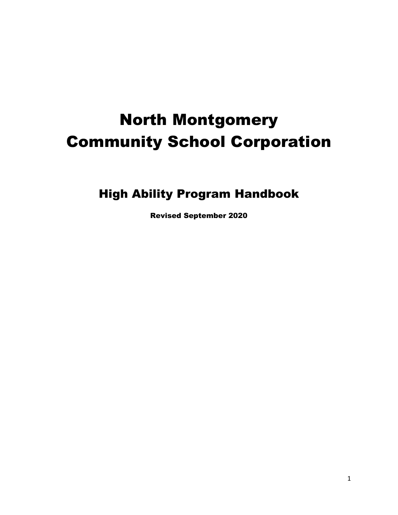# North Montgomery Community School Corporation

High Ability Program Handbook

Revised September 2020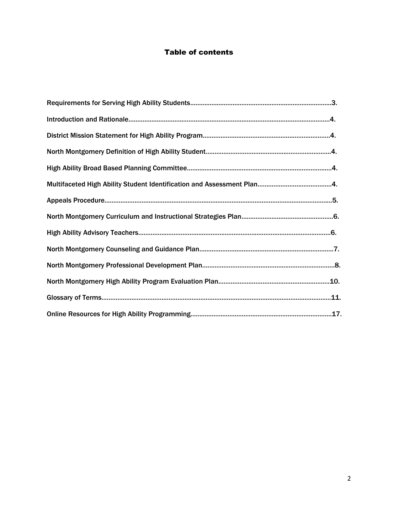# Table of contents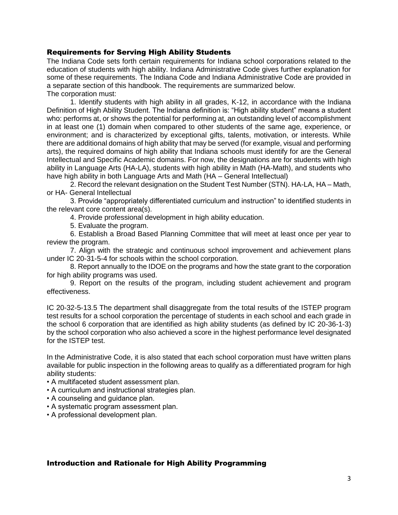#### Requirements for Serving High Ability Students

The Indiana Code sets forth certain requirements for Indiana school corporations related to the education of students with high ability. Indiana Administrative Code gives further explanation for some of these requirements. The Indiana Code and Indiana Administrative Code are provided in a separate section of this handbook. The requirements are summarized below. The corporation must:

1. Identify students with high ability in all grades, K-12, in accordance with the Indiana Definition of High Ability Student. The Indiana definition is: "High ability student" means a student who: performs at, or shows the potential for performing at, an outstanding level of accomplishment in at least one (1) domain when compared to other students of the same age, experience, or environment; and is characterized by exceptional gifts, talents, motivation, or interests. While there are additional domains of high ability that may be served (for example, visual and performing arts), the required domains of high ability that Indiana schools must identify for are the General Intellectual and Specific Academic domains. For now, the designations are for students with high ability in Language Arts (HA-LA), students with high ability in Math (HA-Math), and students who have high ability in both Language Arts and Math (HA – General Intellectual)

2. Record the relevant designation on the Student Test Number (STN). HA-LA, HA – Math, or HA- General Intellectual

3. Provide "appropriately differentiated curriculum and instruction" to identified students in the relevant core content area(s).

4. Provide professional development in high ability education.

5. Evaluate the program.

6. Establish a Broad Based Planning Committee that will meet at least once per year to review the program.

7. Align with the strategic and continuous school improvement and achievement plans under IC 20-31-5-4 for schools within the school corporation.

8. Report annually to the IDOE on the programs and how the state grant to the corporation for high ability programs was used.

9. Report on the results of the program, including student achievement and program effectiveness.

IC 20-32-5-13.5 The department shall disaggregate from the total results of the ISTEP program test results for a school corporation the percentage of students in each school and each grade in the school 6 corporation that are identified as high ability students (as defined by IC 20-36-1-3) by the school corporation who also achieved a score in the highest performance level designated for the ISTEP test.

In the Administrative Code, it is also stated that each school corporation must have written plans available for public inspection in the following areas to qualify as a differentiated program for high ability students:

- A multifaceted student assessment plan.
- A curriculum and instructional strategies plan.
- A counseling and guidance plan.
- A systematic program assessment plan.
- A professional development plan.

#### Introduction and Rationale for High Ability Programming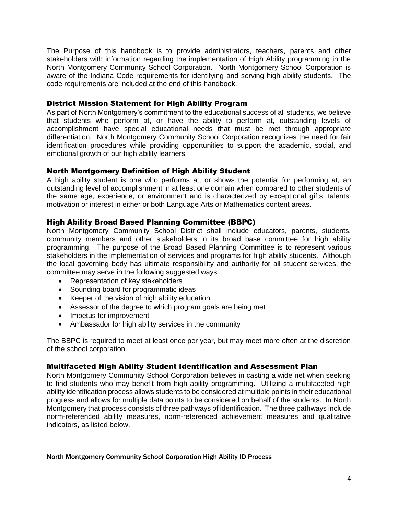The Purpose of this handbook is to provide administrators, teachers, parents and other stakeholders with information regarding the implementation of High Ability programming in the North Montgomery Community School Corporation. North Montgomery School Corporation is aware of the Indiana Code requirements for identifying and serving high ability students. The code requirements are included at the end of this handbook.

## District Mission Statement for High Ability Program

As part of North Montgomery's commitment to the educational success of all students, we believe that students who perform at, or have the ability to perform at, outstanding levels of accomplishment have special educational needs that must be met through appropriate differentiation. North Montgomery Community School Corporation recognizes the need for fair identification procedures while providing opportunities to support the academic, social, and emotional growth of our high ability learners.

# North Montgomery Definition of High Ability Student

A high ability student is one who performs at, or shows the potential for performing at, an outstanding level of accomplishment in at least one domain when compared to other students of the same age, experience, or environment and is characterized by exceptional gifts, talents, motivation or interest in either or both Language Arts or Mathematics content areas.

# High Ability Broad Based Planning Committee (BBPC)

North Montgomery Community School District shall include educators, parents, students, community members and other stakeholders in its broad base committee for high ability programming. The purpose of the Broad Based Planning Committee is to represent various stakeholders in the implementation of services and programs for high ability students. Although the local governing body has ultimate responsibility and authority for all student services, the committee may serve in the following suggested ways:

- Representation of key stakeholders
- Sounding board for programmatic ideas
- Keeper of the vision of high ability education
- Assessor of the degree to which program goals are being met
- Impetus for improvement
- Ambassador for high ability services in the community

The BBPC is required to meet at least once per year, but may meet more often at the discretion of the school corporation.

# Multifaceted High Ability Student Identification and Assessment Plan

North Montgomery Community School Corporation believes in casting a wide net when seeking to find students who may benefit from high ability programming. Utilizing a multifaceted high ability identification process allows students to be considered at multiple points in their educational progress and allows for multiple data points to be considered on behalf of the students. In North Montgomery that process consists of three pathways of identification. The three pathways include norm-referenced ability measures, norm-referenced achievement measures and qualitative indicators, as listed below.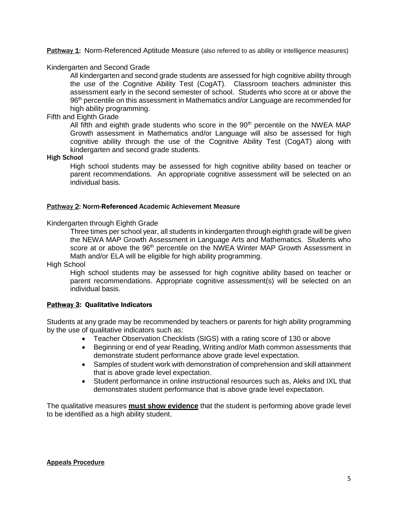Pathway 1: Norm-Referenced Aptitude Measure (also referred to as ability or intelligence measures)

Kindergarten and Second Grade

All kindergarten and second grade students are assessed for high cognitive ability through the use of the Cognitive Ability Test (CogAT). Classroom teachers administer this assessment early in the second semester of school. Students who score at or above the 96<sup>th</sup> percentile on this assessment in Mathematics and/or Language are recommended for high ability programming.

Fifth and Eighth Grade

All fifth and eighth grade students who score in the  $90<sup>th</sup>$  percentile on the NWEA MAP Growth assessment in Mathematics and/or Language will also be assessed for high cognitive ability through the use of the Cognitive Ability Test (CogAT) along with kindergarten and second grade students.

High School

High school students may be assessed for high cognitive ability based on teacher or parent recommendations. An appropriate cognitive assessment will be selected on an individual basis.

#### Pathway 2: Norm-Referenced Academic Achievement Measure

Kindergarten through Eighth Grade

Three times per school year, all students in kindergarten through eighth grade will be given the NEWA MAP Growth Assessment in Language Arts and Mathematics. Students who score at or above the 96<sup>th</sup> percentile on the NWEA Winter MAP Growth Assessment in Math and/or ELA will be eligible for high ability programming.

High School

High school students may be assessed for high cognitive ability based on teacher or parent recommendations. Appropriate cognitive assessment(s) will be selected on an individual basis.

#### **Pathway 3: Qualitative Indicators**

Students at any grade may be recommended by teachers or parents for high ability programming by the use of qualitative indicators such as:

- Teacher Observation Checklists (SIGS) with a rating score of 130 or above
- Beginning or end of year Reading, Writing and/or Math common assessments that demonstrate student performance above grade level expectation.
- Samples of student work with demonstration of comprehension and skill attainment that is above grade level expectation.
- Student performance in online instructional resources such as, Aleks and IXL that demonstrates student performance that is above grade level expectation.

The qualitative measures **must show evidence** that the student is performing above grade level to be identified as a high ability student.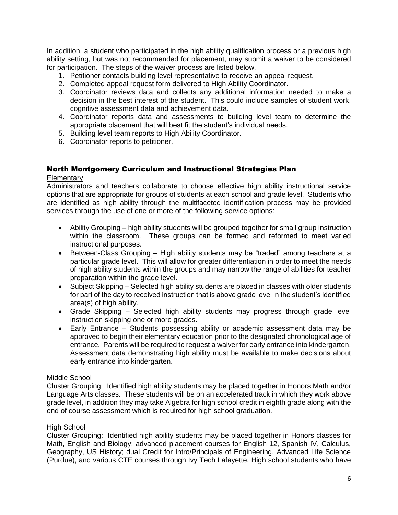In addition, a student who participated in the high ability qualification process or a previous high ability setting, but was not recommended for placement, may submit a waiver to be considered for participation. The steps of the waiver process are listed below.

- 1. Petitioner contacts building level representative to receive an appeal request.
- 2. Completed appeal request form delivered to High Ability Coordinator.
- 3. Coordinator reviews data and collects any additional information needed to make a decision in the best interest of the student. This could include samples of student work, cognitive assessment data and achievement data.
- 4. Coordinator reports data and assessments to building level team to determine the appropriate placement that will best fit the student's individual needs.
- 5. Building level team reports to High Ability Coordinator.
- 6. Coordinator reports to petitioner.

# North Montgomery Curriculum and Instructional Strategies Plan

#### **Elementary**

Administrators and teachers collaborate to choose effective high ability instructional service options that are appropriate for groups of students at each school and grade level. Students who are identified as high ability through the multifaceted identification process may be provided services through the use of one or more of the following service options:

- Ability Grouping high ability students will be grouped together for small group instruction within the classroom. These groups can be formed and reformed to meet varied instructional purposes.
- Between-Class Grouping High ability students may be "traded" among teachers at a particular grade level. This will allow for greater differentiation in order to meet the needs of high ability students within the groups and may narrow the range of abilities for teacher preparation within the grade level.
- Subject Skipping Selected high ability students are placed in classes with older students for part of the day to received instruction that is above grade level in the student's identified area(s) of high ability.
- Grade Skipping Selected high ability students may progress through grade level instruction skipping one or more grades.
- Early Entrance Students possessing ability or academic assessment data may be approved to begin their elementary education prior to the designated chronological age of entrance. Parents will be required to request a waiver for early entrance into kindergarten. Assessment data demonstrating high ability must be available to make decisions about early entrance into kindergarten.

#### Middle School

Cluster Grouping: Identified high ability students may be placed together in Honors Math and/or Language Arts classes. These students will be on an accelerated track in which they work above grade level, in addition they may take Algebra for high school credit in eighth grade along with the end of course assessment which is required for high school graduation.

#### High School

Cluster Grouping: Identified high ability students may be placed together in Honors classes for Math, English and Biology; advanced placement courses for English 12, Spanish IV, Calculus, Geography, US History; dual Credit for Intro/Principals of Engineering, Advanced Life Science (Purdue), and various CTE courses through Ivy Tech Lafayette. High school students who have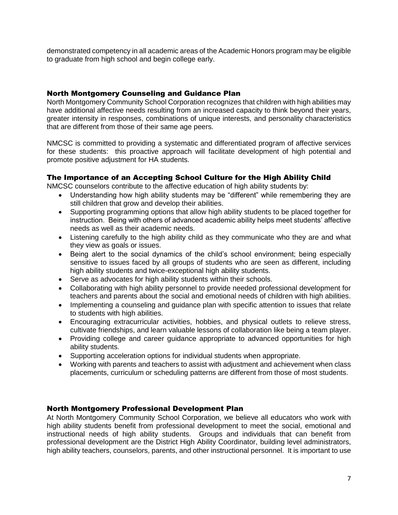demonstrated competency in all academic areas of the Academic Honors program may be eligible to graduate from high school and begin college early.

# North Montgomery Counseling and Guidance Plan

North Montgomery Community School Corporation recognizes that children with high abilities may have additional affective needs resulting from an increased capacity to think beyond their years, greater intensity in responses, combinations of unique interests, and personality characteristics that are different from those of their same age peers.

NMCSC is committed to providing a systematic and differentiated program of affective services for these students: this proactive approach will facilitate development of high potential and promote positive adjustment for HA students.

# The Importance of an Accepting School Culture for the High Ability Child

NMCSC counselors contribute to the affective education of high ability students by:

- Understanding how high ability students may be "different" while remembering they are still children that grow and develop their abilities.
- Supporting programming options that allow high ability students to be placed together for instruction. Being with others of advanced academic ability helps meet students' affective needs as well as their academic needs.
- Listening carefully to the high ability child as they communicate who they are and what they view as goals or issues.
- Being alert to the social dynamics of the child's school environment; being especially sensitive to issues faced by all groups of students who are seen as different, including high ability students and twice-exceptional high ability students.
- Serve as advocates for high ability students within their schools.
- Collaborating with high ability personnel to provide needed professional development for teachers and parents about the social and emotional needs of children with high abilities.
- Implementing a counseling and guidance plan with specific attention to issues that relate to students with high abilities.
- Encouraging extracurricular activities, hobbies, and physical outlets to relieve stress, cultivate friendships, and learn valuable lessons of collaboration like being a team player.
- Providing college and career guidance appropriate to advanced opportunities for high ability students.
- Supporting acceleration options for individual students when appropriate.
- Working with parents and teachers to assist with adjustment and achievement when class placements, curriculum or scheduling patterns are different from those of most students.

## North Montgomery Professional Development Plan

At North Montgomery Community School Corporation, we believe all educators who work with high ability students benefit from professional development to meet the social, emotional and instructional needs of high ability students. Groups and individuals that can benefit from professional development are the District High Ability Coordinator, building level administrators, high ability teachers, counselors, parents, and other instructional personnel. It is important to use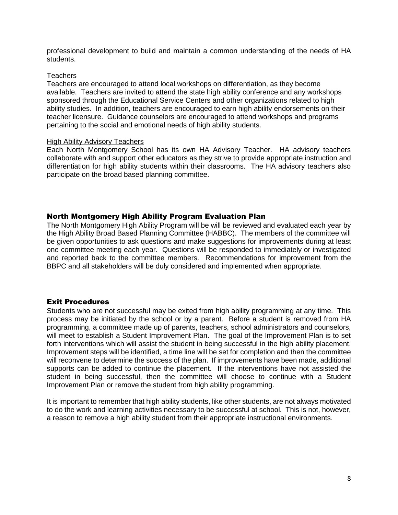professional development to build and maintain a common understanding of the needs of HA students.

#### Teachers

Teachers are encouraged to attend local workshops on differentiation, as they become available. Teachers are invited to attend the state high ability conference and any workshops sponsored through the Educational Service Centers and other organizations related to high ability studies. In addition, teachers are encouraged to earn high ability endorsements on their teacher licensure. Guidance counselors are encouraged to attend workshops and programs pertaining to the social and emotional needs of high ability students.

#### High Ability Advisory Teachers

Each North Montgomery School has its own HA Advisory Teacher. HA advisory teachers collaborate with and support other educators as they strive to provide appropriate instruction and differentiation for high ability students within their classrooms. The HA advisory teachers also participate on the broad based planning committee.

## North Montgomery High Ability Program Evaluation Plan

The North Montgomery High Ability Program will be will be reviewed and evaluated each year by the High Ability Broad Based Planning Committee (HABBC). The members of the committee will be given opportunities to ask questions and make suggestions for improvements during at least one committee meeting each year. Questions will be responded to immediately or investigated and reported back to the committee members. Recommendations for improvement from the BBPC and all stakeholders will be duly considered and implemented when appropriate.

## Exit Procedures

Students who are not successful may be exited from high ability programming at any time. This process may be initiated by the school or by a parent. Before a student is removed from HA programming, a committee made up of parents, teachers, school administrators and counselors, will meet to establish a Student Improvement Plan. The goal of the Improvement Plan is to set forth interventions which will assist the student in being successful in the high ability placement. Improvement steps will be identified, a time line will be set for completion and then the committee will reconvene to determine the success of the plan. If improvements have been made, additional supports can be added to continue the placement. If the interventions have not assisted the student in being successful, then the committee will choose to continue with a Student Improvement Plan or remove the student from high ability programming.

It is important to remember that high ability students, like other students, are not always motivated to do the work and learning activities necessary to be successful at school. This is not, however, a reason to remove a high ability student from their appropriate instructional environments.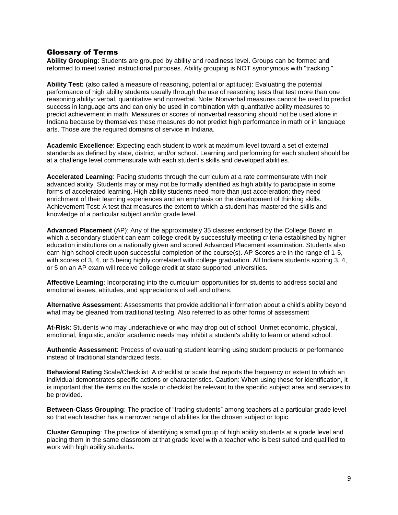#### Glossary of Terms

**Ability Grouping**: Students are grouped by ability and readiness level. Groups can be formed and reformed to meet varied instructional purposes. Ability grouping is NOT synonymous with "tracking."

**Ability Test:** (also called a measure of reasoning, potential or aptitude): Evaluating the potential performance of high ability students usually through the use of reasoning tests that test more than one reasoning ability: verbal, quantitative and nonverbal. Note: Nonverbal measures cannot be used to predict success in language arts and can only be used in combination with quantitative ability measures to predict achievement in math. Measures or scores of nonverbal reasoning should not be used alone in Indiana because by themselves these measures do not predict high performance in math or in language arts. Those are the required domains of service in Indiana.

**Academic Excellence**: Expecting each student to work at maximum level toward a set of external standards as defined by state, district, and/or school. Learning and performing for each student should be at a challenge level commensurate with each student's skills and developed abilities.

**Accelerated Learning**: Pacing students through the curriculum at a rate commensurate with their advanced ability. Students may or may not be formally identified as high ability to participate in some forms of accelerated learning. High ability students need more than just acceleration; they need enrichment of their learning experiences and an emphasis on the development of thinking skills. Achievement Test: A test that measures the extent to which a student has mastered the skills and knowledge of a particular subject and/or grade level.

**Advanced Placement** (AP): Any of the approximately 35 classes endorsed by the College Board in which a secondary student can earn college credit by successfully meeting criteria established by higher education institutions on a nationally given and scored Advanced Placement examination. Students also earn high school credit upon successful completion of the course(s). AP Scores are in the range of 1-5, with scores of 3, 4, or 5 being highly correlated with college graduation. All Indiana students scoring 3, 4, or 5 on an AP exam will receive college credit at state supported universities.

**Affective Learning**: Incorporating into the curriculum opportunities for students to address social and emotional issues, attitudes, and appreciations of self and others.

**Alternative Assessment**: Assessments that provide additional information about a child's ability beyond what may be gleaned from traditional testing. Also referred to as other forms of assessment

**At-Risk**: Students who may underachieve or who may drop out of school. Unmet economic, physical, emotional, linguistic, and/or academic needs may inhibit a student's ability to learn or attend school.

**Authentic Assessment**: Process of evaluating student learning using student products or performance instead of traditional standardized tests.

**Behavioral Rating** Scale/Checklist: A checklist or scale that reports the frequency or extent to which an individual demonstrates specific actions or characteristics. Caution: When using these for identification, it is important that the items on the scale or checklist be relevant to the specific subject area and services to be provided.

**Between-Class Grouping**: The practice of "trading students" among teachers at a particular grade level so that each teacher has a narrower range of abilities for the chosen subject or topic.

**Cluster Grouping**: The practice of identifying a small group of high ability students at a grade level and placing them in the same classroom at that grade level with a teacher who is best suited and qualified to work with high ability students.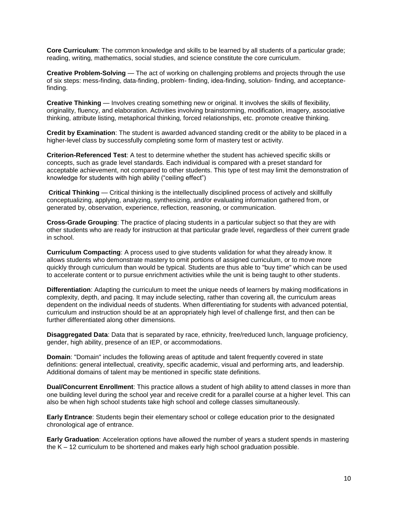**Core Curriculum**: The common knowledge and skills to be learned by all students of a particular grade; reading, writing, mathematics, social studies, and science constitute the core curriculum.

**Creative Problem-Solving** — The act of working on challenging problems and projects through the use of six steps: mess-finding, data-finding, problem- finding, idea-finding, solution- finding, and acceptancefinding.

**Creative Thinking** — Involves creating something new or original. It involves the skills of flexibility, originality, fluency, and elaboration. Activities involving brainstorming, modification, imagery, associative thinking, attribute listing, metaphorical thinking, forced relationships, etc. promote creative thinking.

**Credit by Examination**: The student is awarded advanced standing credit or the ability to be placed in a higher-level class by successfully completing some form of mastery test or activity.

**Criterion-Referenced Test**: A test to determine whether the student has achieved specific skills or concepts, such as grade level standards. Each individual is compared with a preset standard for acceptable achievement, not compared to other students. This type of test may limit the demonstration of knowledge for students with high ability ("ceiling effect")

**Critical Thinking** — Critical thinking is the intellectually disciplined process of actively and skillfully conceptualizing, applying, analyzing, synthesizing, and/or evaluating information gathered from, or generated by, observation, experience, reflection, reasoning, or communication.

**Cross-Grade Grouping**: The practice of placing students in a particular subject so that they are with other students who are ready for instruction at that particular grade level, regardless of their current grade in school.

**Curriculum Compacting**: A process used to give students validation for what they already know. It allows students who demonstrate mastery to omit portions of assigned curriculum, or to move more quickly through curriculum than would be typical. Students are thus able to "buy time" which can be used to accelerate content or to pursue enrichment activities while the unit is being taught to other students.

**Differentiation**: Adapting the curriculum to meet the unique needs of learners by making modifications in complexity, depth, and pacing. It may include selecting, rather than covering all, the curriculum areas dependent on the individual needs of students. When differentiating for students with advanced potential, curriculum and instruction should be at an appropriately high level of challenge first, and then can be further differentiated along other dimensions.

**Disaggregated Data**: Data that is separated by race, ethnicity, free/reduced lunch, language proficiency, gender, high ability, presence of an IEP, or accommodations.

**Domain**: "Domain" includes the following areas of aptitude and talent frequently covered in state definitions: general intellectual, creativity, specific academic, visual and performing arts, and leadership. Additional domains of talent may be mentioned in specific state definitions.

**Dual/Concurrent Enrollment**: This practice allows a student of high ability to attend classes in more than one building level during the school year and receive credit for a parallel course at a higher level. This can also be when high school students take high school and college classes simultaneously.

**Early Entrance**: Students begin their elementary school or college education prior to the designated chronological age of entrance.

**Early Graduation**: Acceleration options have allowed the number of years a student spends in mastering the K – 12 curriculum to be shortened and makes early high school graduation possible.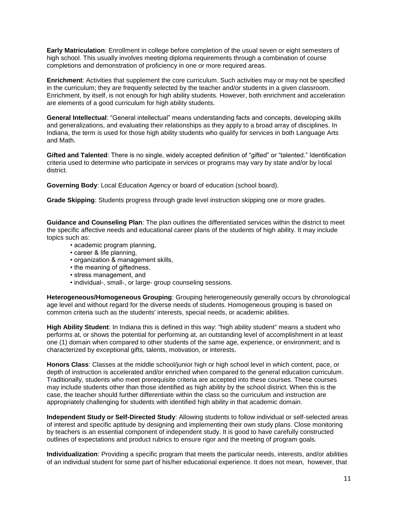**Early Matriculation**: Enrollment in college before completion of the usual seven or eight semesters of high school. This usually involves meeting diploma requirements through a combination of course completions and demonstration of proficiency in one or more required areas.

**Enrichment**: Activities that supplement the core curriculum. Such activities may or may not be specified in the curriculum; they are frequently selected by the teacher and/or students in a given classroom. Enrichment, by itself, is not enough for high ability students. However, both enrichment and acceleration are elements of a good curriculum for high ability students.

**General Intellectual**: "General intellectual" means understanding facts and concepts, developing skills and generalizations, and evaluating their relationships as they apply to a broad array of disciplines. In Indiana, the term is used for those high ability students who qualify for services in both Language Arts and Math.

**Gifted and Talented**: There is no single, widely accepted definition of "gifted" or "talented." Identification criteria used to determine who participate in services or programs may vary by state and/or by local district.

**Governing Body**: Local Education Agency or board of education (school board).

**Grade Skipping**: Students progress through grade level instruction skipping one or more grades.

**Guidance and Counseling Plan**: The plan outlines the differentiated services within the district to meet the specific affective needs and educational career plans of the students of high ability. It may include topics such as:

- academic program planning,
- career & life planning,
- organization & management skills,
- the meaning of giftedness,
- stress management, and
- individual-, small-, or large- group counseling sessions.

**Heterogeneous/Homogeneous Grouping**: Grouping heterogeneously generally occurs by chronological age level and without regard for the diverse needs of students. Homogeneous grouping is based on common criteria such as the students' interests, special needs, or academic abilities.

**High Ability Student**: In Indiana this is defined in this way: "high ability student" means a student who performs at, or shows the potential for performing at, an outstanding level of accomplishment in at least one (1) domain when compared to other students of the same age, experience, or environment; and is characterized by exceptional gifts, talents, motivation, or interests.

**Honors Class**: Classes at the middle school/junior high or high school level in which content, pace, or depth of instruction is accelerated and/or enriched when compared to the general education curriculum. Traditionally, students who meet prerequisite criteria are accepted into these courses. These courses may include students other than those identified as high ability by the school district. When this is the case, the teacher should further differentiate within the class so the curriculum and instruction are appropriately challenging for students with identified high ability in that academic domain.

**Independent Study or Self-Directed Study**: Allowing students to follow individual or self-selected areas of interest and specific aptitude by designing and implementing their own study plans. Close monitoring by teachers is an essential component of independent study. It is good to have carefully constructed outlines of expectations and product rubrics to ensure rigor and the meeting of program goals.

**Individualization**: Providing a specific program that meets the particular needs, interests, and/or abilities of an individual student for some part of his/her educational experience. It does not mean, however, that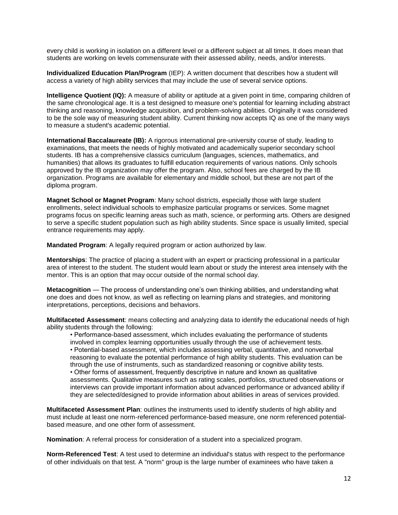every child is working in isolation on a different level or a different subject at all times. It does mean that students are working on levels commensurate with their assessed ability, needs, and/or interests.

**Individualized Education Plan/Program** (IEP): A written document that describes how a student will access a variety of high ability services that may include the use of several service options.

**Intelligence Quotient (IQ):** A measure of ability or aptitude at a given point in time, comparing children of the same chronological age. It is a test designed to measure one's potential for learning including abstract thinking and reasoning, knowledge acquisition, and problem-solving abilities. Originally it was considered to be the sole way of measuring student ability. Current thinking now accepts IQ as one of the many ways to measure a student's academic potential.

**International Baccalaureate (IB):** A rigorous international pre-university course of study, leading to examinations, that meets the needs of highly motivated and academically superior secondary school students. IB has a comprehensive classics curriculum (languages, sciences, mathematics, and humanities) that allows its graduates to fulfill education requirements of various nations. Only schools approved by the IB organization may offer the program. Also, school fees are charged by the IB organization. Programs are available for elementary and middle school, but these are not part of the diploma program.

**Magnet School or Magnet Program**: Many school districts, especially those with large student enrollments, select individual schools to emphasize particular programs or services. Some magnet programs focus on specific learning areas such as math, science, or performing arts. Others are designed to serve a specific student population such as high ability students. Since space is usually limited, special entrance requirements may apply.

**Mandated Program**: A legally required program or action authorized by law.

**Mentorships**: The practice of placing a student with an expert or practicing professional in a particular area of interest to the student. The student would learn about or study the interest area intensely with the mentor. This is an option that may occur outside of the normal school day.

**Metacognition** — The process of understanding one's own thinking abilities, and understanding what one does and does not know, as well as reflecting on learning plans and strategies, and monitoring interpretations, perceptions, decisions and behaviors.

**Multifaceted Assessment**: means collecting and analyzing data to identify the educational needs of high ability students through the following:

• Performance-based assessment, which includes evaluating the performance of students involved in complex learning opportunities usually through the use of achievement tests. • Potential-based assessment, which includes assessing verbal, quantitative, and nonverbal reasoning to evaluate the potential performance of high ability students. This evaluation can be through the use of instruments, such as standardized reasoning or cognitive ability tests. • Other forms of assessment, frequently descriptive in nature and known as qualitative assessments. Qualitative measures such as rating scales, portfolios, structured observations or interviews can provide important information about advanced performance or advanced ability if they are selected/designed to provide information about abilities in areas of services provided.

**Multifaceted Assessment Plan**: outlines the instruments used to identify students of high ability and must include at least one norm-referenced performance-based measure, one norm referenced potentialbased measure, and one other form of assessment.

**Nomination**: A referral process for consideration of a student into a specialized program.

**Norm-Referenced Test**: A test used to determine an individual's status with respect to the performance of other individuals on that test. A "norm" group is the large number of examinees who have taken a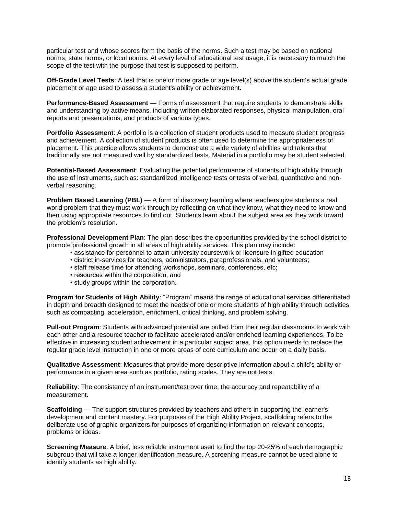particular test and whose scores form the basis of the norms. Such a test may be based on national norms, state norms, or local norms. At every level of educational test usage, it is necessary to match the scope of the test with the purpose that test is supposed to perform.

**Off-Grade Level Tests**: A test that is one or more grade or age level(s) above the student's actual grade placement or age used to assess a student's ability or achievement.

**Performance-Based Assessment** — Forms of assessment that require students to demonstrate skills and understanding by active means, including written elaborated responses, physical manipulation, oral reports and presentations, and products of various types.

**Portfolio Assessment**: A portfolio is a collection of student products used to measure student progress and achievement. A collection of student products is often used to determine the appropriateness of placement. This practice allows students to demonstrate a wide variety of abilities and talents that traditionally are not measured well by standardized tests. Material in a portfolio may be student selected.

**Potential-Based Assessment**: Evaluating the potential performance of students of high ability through the use of instruments, such as: standardized intelligence tests or tests of verbal, quantitative and nonverbal reasoning.

**Problem Based Learning (PBL)** — A form of discovery learning where teachers give students a real world problem that they must work through by reflecting on what they know, what they need to know and then using appropriate resources to find out. Students learn about the subject area as they work toward the problem's resolution.

**Professional Development Plan**: The plan describes the opportunities provided by the school district to promote professional growth in all areas of high ability services. This plan may include:

- assistance for personnel to attain university coursework or licensure in gifted education
- district in-services for teachers, administrators, paraprofessionals, and volunteers;
- staff release time for attending workshops, seminars, conferences, etc;
- resources within the corporation; and
- study groups within the corporation.

**Program for Students of High Ability**: "Program" means the range of educational services differentiated in depth and breadth designed to meet the needs of one or more students of high ability through activities such as compacting, acceleration, enrichment, critical thinking, and problem solving.

**Pull-out Program**: Students with advanced potential are pulled from their regular classrooms to work with each other and a resource teacher to facilitate accelerated and/or enriched learning experiences. To be effective in increasing student achievement in a particular subject area, this option needs to replace the regular grade level instruction in one or more areas of core curriculum and occur on a daily basis.

**Qualitative Assessment**: Measures that provide more descriptive information about a child's ability or performance in a given area such as portfolio, rating scales. They are not tests.

**Reliability**: The consistency of an instrument/test over time; the accuracy and repeatability of a measurement.

**Scaffolding** — The support structures provided by teachers and others in supporting the learner's development and content mastery. For purposes of the High Ability Project, scaffolding refers to the deliberate use of graphic organizers for purposes of organizing information on relevant concepts, problems or ideas.

**Screening Measure**: A brief, less reliable instrument used to find the top 20-25% of each demographic subgroup that will take a longer identification measure. A screening measure cannot be used alone to identify students as high ability.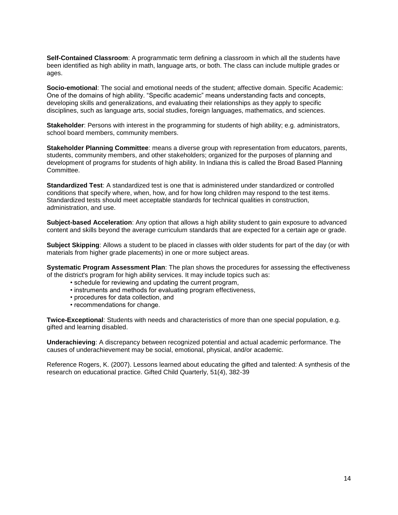**Self-Contained Classroom**: A programmatic term defining a classroom in which all the students have been identified as high ability in math, language arts, or both. The class can include multiple grades or ages.

**Socio-emotional**: The social and emotional needs of the student; affective domain. Specific Academic: One of the domains of high ability. "Specific academic" means understanding facts and concepts, developing skills and generalizations, and evaluating their relationships as they apply to specific disciplines, such as language arts, social studies, foreign languages, mathematics, and sciences.

**Stakeholder**: Persons with interest in the programming for students of high ability; e.g. administrators, school board members, community members.

**Stakeholder Planning Committee**: means a diverse group with representation from educators, parents, students, community members, and other stakeholders; organized for the purposes of planning and development of programs for students of high ability. In Indiana this is called the Broad Based Planning Committee.

**Standardized Test**: A standardized test is one that is administered under standardized or controlled conditions that specify where, when, how, and for how long children may respond to the test items. Standardized tests should meet acceptable standards for technical qualities in construction, administration, and use.

**Subject-based Acceleration**: Any option that allows a high ability student to gain exposure to advanced content and skills beyond the average curriculum standards that are expected for a certain age or grade.

**Subject Skipping**: Allows a student to be placed in classes with older students for part of the day (or with materials from higher grade placements) in one or more subject areas.

**Systematic Program Assessment Plan**: The plan shows the procedures for assessing the effectiveness of the district's program for high ability services. It may include topics such as:

- schedule for reviewing and updating the current program,
- instruments and methods for evaluating program effectiveness,
- procedures for data collection, and
- recommendations for change.

**Twice-Exceptional**: Students with needs and characteristics of more than one special population, e.g. gifted and learning disabled.

**Underachieving**: A discrepancy between recognized potential and actual academic performance. The causes of underachievement may be social, emotional, physical, and/or academic.

Reference Rogers, K. (2007). Lessons learned about educating the gifted and talented: A synthesis of the research on educational practice. Gifted Child Quarterly, 51(4), 382-39